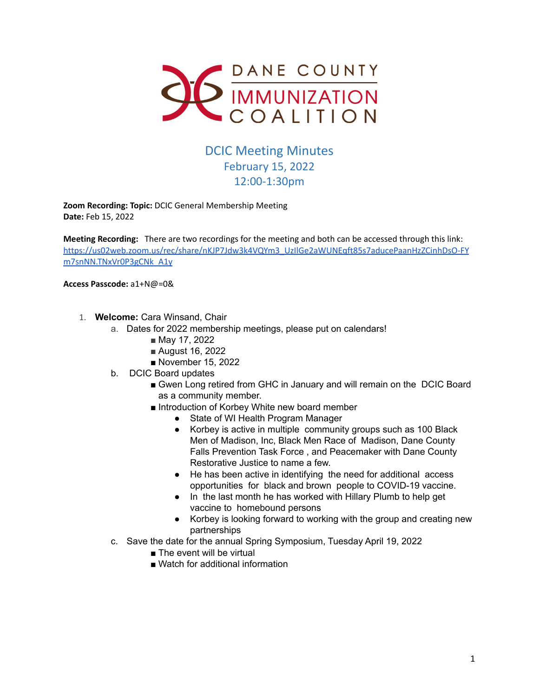

## DCIC Meeting Minutes February 15, 2022 12:00-1:30pm

**Zoom Recording: Topic:** DCIC General Membership Meeting **Date:** Feb 15, 2022

**Meeting Recording:** There are two recordings for the meeting and both can be accessed through this link: [https://us02web.zoom.us/rec/share/nKJP7Jdw3k4VQYm3\\_UzIlGe2aWUNEqft85s7aducePaanHzZCinhDsO-FY](https://us02web.zoom.us/rec/share/nKJP7Jdw3k4VQYm3_UzIlGe2aWUNEqft85s7aducePaanHzZCinhDsO-FYm7snNN.TNxVr0P3gCNk_A1y) [m7snNN.TNxVr0P3gCNk\\_A1y](https://us02web.zoom.us/rec/share/nKJP7Jdw3k4VQYm3_UzIlGe2aWUNEqft85s7aducePaanHzZCinhDsO-FYm7snNN.TNxVr0P3gCNk_A1y)

**Access Passcode:** a1+N@=0&

- 1. **Welcome:** Cara Winsand, Chair
	- a. Dates for 2022 membership meetings, please put on calendars!
		- May 17, 2022
		- August 16, 2022
		- November 15, 2022
		- b. DCIC Board updates
			- Gwen Long retired from GHC in January and will remain on the DCIC Board as a community member.
			- Introduction of Korbey White new board member
				- State of WI Health Program Manager
				- Korbey is active in multiple community groups such as 100 Black Men of Madison, Inc, Black Men Race of Madison, Dane County Falls Prevention Task Force , and Peacemaker with Dane County Restorative Justice to name a few.
				- He has been active in identifying the need for additional access opportunities for black and brown people to COVID-19 vaccine.
				- In the last month he has worked with Hillary Plumb to help get vaccine to homebound persons
				- Korbey is looking forward to working with the group and creating new partnerships
	- c. Save the date for the annual Spring Symposium, Tuesday April 19, 2022
		- The event will be virtual
		- Watch for additional information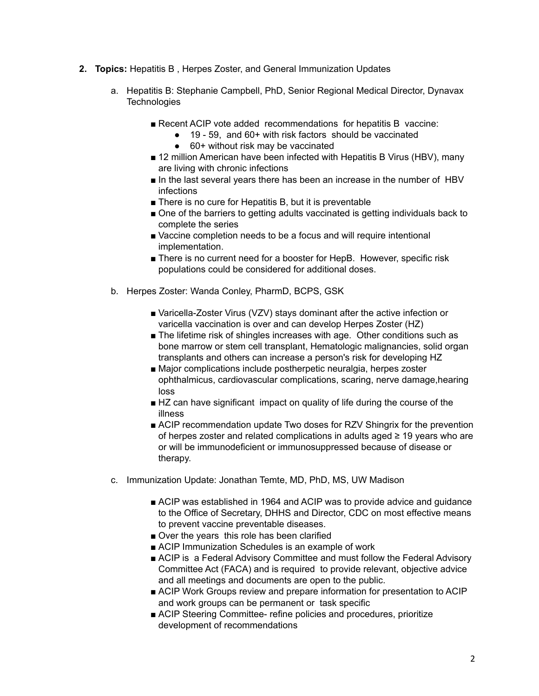- **2. Topics:** Hepatitis B , Herpes Zoster, and General Immunization Updates
	- a. Hepatitis B: Stephanie Campbell, PhD, Senior Regional Medical Director, Dynavax **Technologies** 
		- Recent ACIP vote added recommendations for hepatitis B vaccine:
			- 19 59, and 60+ with risk factors should be vaccinated
			- 60+ without risk may be vaccinated
		- 12 million American have been infected with Hepatitis B Virus (HBV), many are living with chronic infections
		- In the last several years there has been an increase in the number of HBV infections
		- There is no cure for Hepatitis B, but it is preventable
		- One of the barriers to getting adults vaccinated is getting individuals back to complete the series
		- Vaccine completion needs to be a focus and will require intentional implementation.
		- There is no current need for a booster for HepB. However, specific risk populations could be considered for additional doses.
	- b. Herpes Zoster: Wanda Conley, PharmD, BCPS, GSK
		- Varicella-Zoster Virus (VZV) stays dominant after the active infection or varicella vaccination is over and can develop Herpes Zoster (HZ)
		- The lifetime risk of shingles increases with age. Other conditions such as bone marrow or stem cell transplant, Hematologic malignancies, solid organ transplants and others can increase a person's risk for developing HZ
		- Major complications include postherpetic neuralgia, herpes zoster ophthalmicus, cardiovascular complications, scaring, nerve damage,hearing loss
		- HZ can have significant impact on quality of life during the course of the illness
		- ACIP recommendation update Two doses for RZV Shingrix for the prevention of herpes zoster and related complications in adults aged ≥ 19 years who are or will be immunodeficient or immunosuppressed because of disease or therapy.
	- c. Immunization Update: Jonathan Temte, MD, PhD, MS, UW Madison
		- ACIP was established in 1964 and ACIP was to provide advice and quidance to the Office of Secretary, DHHS and Director, CDC on most effective means to prevent vaccine preventable diseases.
		- Over the years this role has been clarified
		- ACIP Immunization Schedules is an example of work
		- ACIP is a Federal Advisory Committee and must follow the Federal Advisory Committee Act (FACA) and is required to provide relevant, objective advice and all meetings and documents are open to the public.
		- ACIP Work Groups review and prepare information for presentation to ACIP and work groups can be permanent or task specific
		- ACIP Steering Committee- refine policies and procedures, prioritize development of recommendations